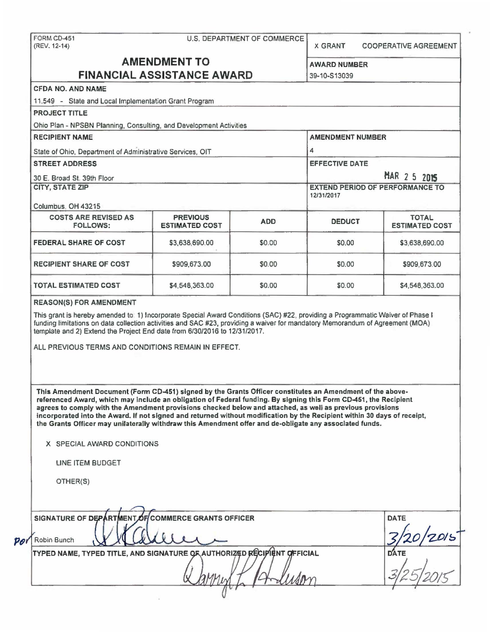| <b>CFDA NO. AND NAME</b><br>11.549 - State and Local Implementation Grant Program<br><b>PROJECT TITLE</b>                                                                                                                                                                                                                                                                                                                                                                                                                                                                                                                           | <b>AMENDMENT TO</b>                      |                                   | <b>AWARD NUMBER</b><br>39-10-S13039    |                                       |
|-------------------------------------------------------------------------------------------------------------------------------------------------------------------------------------------------------------------------------------------------------------------------------------------------------------------------------------------------------------------------------------------------------------------------------------------------------------------------------------------------------------------------------------------------------------------------------------------------------------------------------------|------------------------------------------|-----------------------------------|----------------------------------------|---------------------------------------|
|                                                                                                                                                                                                                                                                                                                                                                                                                                                                                                                                                                                                                                     |                                          |                                   |                                        |                                       |
|                                                                                                                                                                                                                                                                                                                                                                                                                                                                                                                                                                                                                                     |                                          | <b>FINANCIAL ASSISTANCE AWARD</b> |                                        |                                       |
|                                                                                                                                                                                                                                                                                                                                                                                                                                                                                                                                                                                                                                     |                                          |                                   |                                        |                                       |
|                                                                                                                                                                                                                                                                                                                                                                                                                                                                                                                                                                                                                                     |                                          |                                   |                                        |                                       |
|                                                                                                                                                                                                                                                                                                                                                                                                                                                                                                                                                                                                                                     |                                          |                                   |                                        |                                       |
| Ohio Plan - NPSBN Planning, Consulting, and Development Activities                                                                                                                                                                                                                                                                                                                                                                                                                                                                                                                                                                  |                                          |                                   |                                        |                                       |
| <b>RECIPIENT NAME</b>                                                                                                                                                                                                                                                                                                                                                                                                                                                                                                                                                                                                               |                                          |                                   | <b>AMENDMENT NUMBER</b>                |                                       |
| State of Ohio, Department of Administrative Services, OIT                                                                                                                                                                                                                                                                                                                                                                                                                                                                                                                                                                           |                                          |                                   | 4                                      |                                       |
| <b>STREET ADDRESS</b>                                                                                                                                                                                                                                                                                                                                                                                                                                                                                                                                                                                                               |                                          |                                   | <b>EFFECTIVE DATE</b><br>MAR 2 5 2015  |                                       |
| 30 E. Broad St. 39th Floor                                                                                                                                                                                                                                                                                                                                                                                                                                                                                                                                                                                                          |                                          |                                   |                                        |                                       |
| <b>CITY, STATE ZIP</b>                                                                                                                                                                                                                                                                                                                                                                                                                                                                                                                                                                                                              |                                          |                                   | <b>EXTEND PERIOD OF PERFORMANCE TO</b> |                                       |
|                                                                                                                                                                                                                                                                                                                                                                                                                                                                                                                                                                                                                                     |                                          |                                   | 12/31/2017                             |                                       |
| Columbus, OH 43215                                                                                                                                                                                                                                                                                                                                                                                                                                                                                                                                                                                                                  |                                          |                                   |                                        |                                       |
| <b>COSTS ARE REVISED AS</b><br><b>FOLLOWS:</b>                                                                                                                                                                                                                                                                                                                                                                                                                                                                                                                                                                                      | <b>PREVIOUS</b><br><b>ESTIMATED COST</b> | <b>ADD</b>                        | <b>DEDUCT</b>                          | <b>TOTAL</b><br><b>ESTIMATED COST</b> |
|                                                                                                                                                                                                                                                                                                                                                                                                                                                                                                                                                                                                                                     |                                          |                                   |                                        |                                       |
| FEDERAL SHARE OF COST                                                                                                                                                                                                                                                                                                                                                                                                                                                                                                                                                                                                               | \$3,638,690.00                           | \$0.00                            | \$0.00                                 | \$3,638,690.00                        |
| <b>RECIPIENT SHARE OF COST</b>                                                                                                                                                                                                                                                                                                                                                                                                                                                                                                                                                                                                      | \$909,673.00                             | \$0.00                            | \$0.00                                 | \$909,673.00                          |
|                                                                                                                                                                                                                                                                                                                                                                                                                                                                                                                                                                                                                                     |                                          |                                   |                                        |                                       |
| <b>TOTAL ESTIMATED COST</b>                                                                                                                                                                                                                                                                                                                                                                                                                                                                                                                                                                                                         | \$4,548,363.00                           | \$0.00                            | \$0.00                                 | \$4,548,363.00                        |
| ALL PREVIOUS TERMS AND CONDITIONS REMAIN IN EFFECT.                                                                                                                                                                                                                                                                                                                                                                                                                                                                                                                                                                                 |                                          |                                   |                                        |                                       |
| This Amendment Document (Form CD-451) signed by the Grants Officer constitutes an Amendment of the above-<br>referenced Award, which may include an obligation of Federal funding. By signing this Form CD-451, the Recipient<br>agrees to comply with the Amendment provisions checked below and attached, as well as previous provisions<br>incorporated into the Award. If not signed and returned without modification by the Recipient within 30 days of receipt,<br>the Grants Officer may unilaterally withdraw this Amendment offer and de-obligate any associated funds.<br>X SPECIAL AWARD CONDITIONS<br>LINE ITEM BUDGET |                                          |                                   |                                        |                                       |
|                                                                                                                                                                                                                                                                                                                                                                                                                                                                                                                                                                                                                                     |                                          |                                   |                                        |                                       |
| OTHER(S)                                                                                                                                                                                                                                                                                                                                                                                                                                                                                                                                                                                                                            |                                          |                                   |                                        |                                       |
|                                                                                                                                                                                                                                                                                                                                                                                                                                                                                                                                                                                                                                     |                                          |                                   |                                        |                                       |
| SIGNATURE OF DEPARTMENT OF COMMERCE GRANTS OFFICER<br>Robin Bunch                                                                                                                                                                                                                                                                                                                                                                                                                                                                                                                                                                   |                                          |                                   |                                        | DATE<br>2015                          |
| TYPED NAME, TYPED TITLE, AND SIGNATURE OF AUTHORIZED RECIPIENT OF FICIAL                                                                                                                                                                                                                                                                                                                                                                                                                                                                                                                                                            |                                          |                                   |                                        | <b>DATE</b>                           |